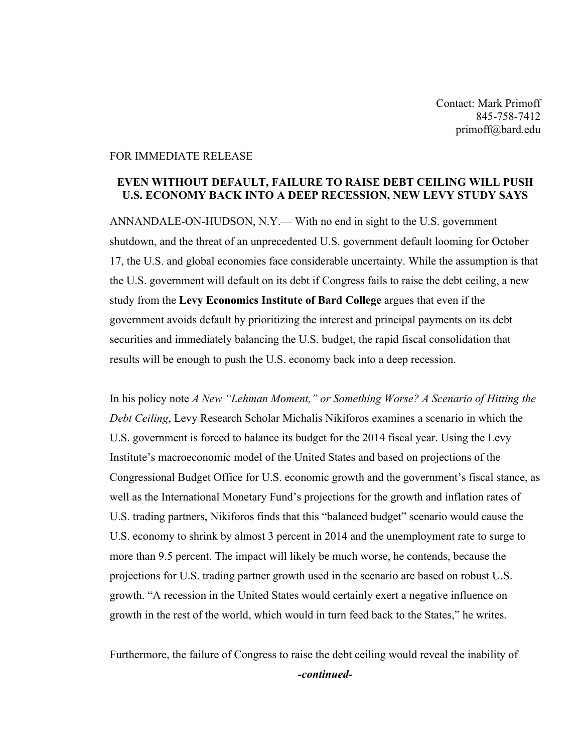Contact: Mark Primoff 845-758-7412 primoff@bard.edu

## FOR IMMEDIATE RELEASE

## **EVEN WITHOUT DEFAULT, FAILURE TO RAISE DEBT CEILING WILL PUSH U.S. ECONOMY BACK INTO A DEEP RECESSION, NEW LEVY STUDY SAYS**

ANNANDALE-ON-HUDSON, N.Y.— With no end in sight to the U.S. government shutdown, and the threat of an unprecedented U.S. government default looming for October 17, the U.S. and global economies face considerable uncertainty. While the assumption is that the U.S. government will default on its debt if Congress fails to raise the debt ceiling, a new study from the **Levy Economics Institute of Bard College** argues that even if the government avoids default by prioritizing the interest and principal payments on its debt securities and immediately balancing the U.S. budget, the rapid fiscal consolidation that results will be enough to push the U.S. economy back into a deep recession.

In his policy note *A New "Lehman Moment," or Something Worse? A Scenario of Hitting the Debt Ceiling*, Levy Research Scholar Michalis Nikiforos examines a scenario in which the U.S. government is forced to balance its budget for the 2014 fiscal year. Using the Levy Institute's macroeconomic model of the United States and based on projections of the Congressional Budget Office for U.S. economic growth and the government's fiscal stance, as well as the International Monetary Fund's projections for the growth and inflation rates of U.S. trading partners, Nikiforos finds that this "balanced budget" scenario would cause the U.S. economy to shrink by almost 3 percent in 2014 and the unemployment rate to surge to more than 9.5 percent. The impact will likely be much worse, he contends, because the projections for U.S. trading partner growth used in the scenario are based on robust U.S. growth. "A recession in the United States would certainly exert a negative influence on growth in the rest of the world, which would in turn feed back to the States," he writes.

Furthermore, the failure of Congress to raise the debt ceiling would reveal the inability of *-continued-*